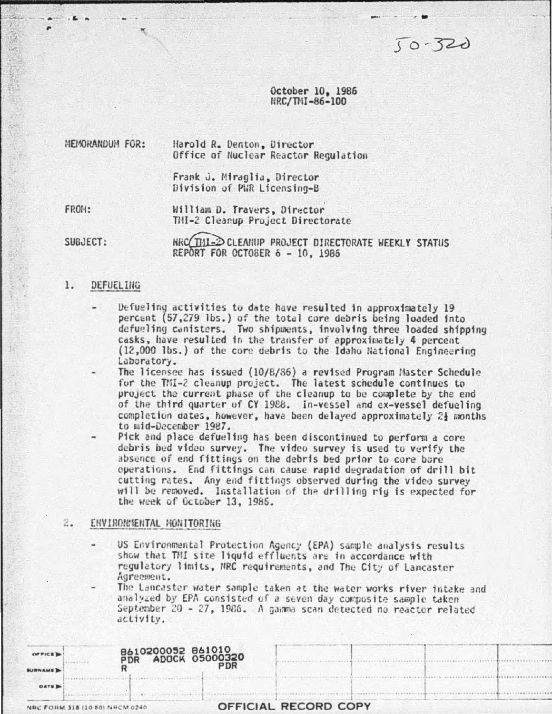$50 - 320$ 

October 10, 1986 HRC/THI-86-100

MEMORANDUM FOR: Harold R. Denton, Director Office of Nuclear Reactor Regulation

> Frank J. Miraglia, Director Division of PWR Licensing-B

FROM:

William D. Travers, Director TMI-2 Cleanup Project Directorate

SUBJECT:

RRC TIL-2 CLEANUP PROJECT DIRECTORATE WEEKLY STATUS REPORT FOR OCTOBER 6 - 10, 1986

## 1. DEFUELING

- Defueling activities to date have resulted in approximately 19 percent (57,279 lbs.) of the total core debris being loaded into defueling canisters. Two shipments, involving three loaded shipping casks, have resulted in the transfer of approximately 4 percent (12,000 lbs.) of the core debris to the Idaho National Engineering Laboratory.
- The licensee has issued (10/8/86) a revised Program Master Schedule for the TMI-2 cleanup project. The latest schedule continues to project the current phase of the cleanup to be complete by the end of the third quarter of CY 1988. In-vessel and ex-vessel defueling completion dates, however, have been delayed approximately 24 months to mid-December 1987.

Pick and place defueling has been discontinued to perform a core debris bed video survey. The video survey is used to verify the absence of end fittings on the debris bed prior to core bore operations. End fittings can cause rapid degradation of drill bit cutting rates. Any end fittings observed during the video survey will be removed. Installation of the drilling rig is expected for the week of October 13, 1985.

## 2. ENVIRONMENTAL MONITORING

US Environmental Protection Agency (EPA) sample analysis results show that TMI site liquid effluents are in accordance with regulatory limits, NRC requirements, and The City of Lancaster Agreement.

The Lancaster water sample taken at the water works river intake and analyzed by EPA consisted of a seven day composite sample taken September 20 - 27, 1986. A gamma scan detected no reactor related activity.

|                | NRC FORM 318 (10-50) NRCM 0240 |                                         | OFFICIAL RECORD COPY |  |  |
|----------------|--------------------------------|-----------------------------------------|----------------------|--|--|
| <b>DAYE DE</b> |                                |                                         |                      |  |  |
| <b>SURNAME</b> |                                | PDR                                     |                      |  |  |
| OFFICE D       | PDR                            | B610200052 861010<br>PDR ADOCK 05000320 |                      |  |  |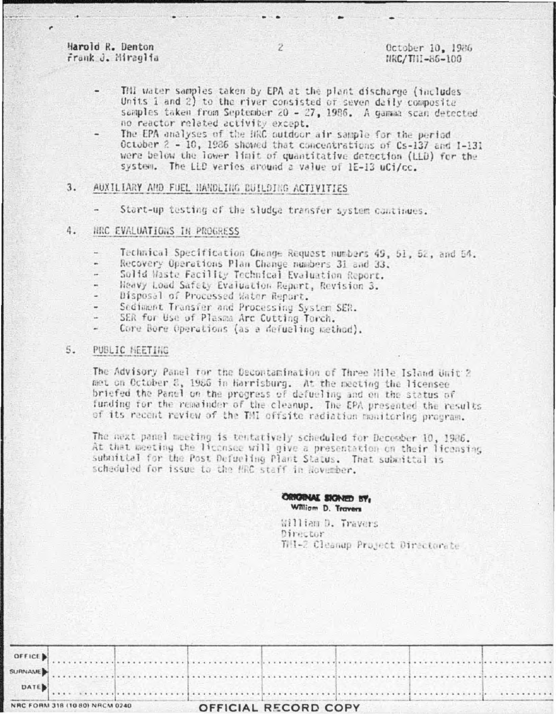Harold R. Denton Frank J. Miraglia

- Thi water samples taken by EPA at the plant discharge (includes) Units 1 and 2) to the river consisted of seven daily composite samples taken from September 20 - 27, 1986. A gamma scan detected no reactor related activity except.
- The EPA analyses of the HRC outdoor air sample for the period October 2 - 10, 1986 showed that concentrations of Cs-137 and I-131 were below the lower limit of quantitative detection (LLD) for the system. The LLD varies around a value of 1E-13 uCi/cc.

## $3.$ AUXILIARY AND FUEL NANDLING BUILDING ACTIVITIES

Start-up testing of the sludge transfer system continues.

#### 4. NRC EVALUATIONS IN PROGRESS

- Technical Specification Change Request numbers 49, 51, 52, and 54.
- Recovery Operations Plan Change numbers 31 and 33.
- Solid Waste Facility Technical Evaluation Report.
- Heavy Load Safety Evaluation Report, Revision 3.
- Disposal of Processed Water Report.
- Sediment Transfer and Processing System SER.
- SER for Use of Plasma Arc Cutting Torch.
- Core Bore Operations (as a defueling method).

## PUBLIC HEETING 5.

The Advisory Panel for the Decontamination of Three Hile Island Unit 2 met on October 8, 1986 in Harrisburg. At the meeting the licensee briefed the Panel on the progress of defueling and on the status of funding for the remainder of the cleanup. The EPA presented the results of its recent review of the TMI offsite radiation monitoring program.

The mext panel meeting is tentatively scheduled for December 10, 1986. At that meeting the licensee will give a presentation on their licensing submittal for the Post Defueling Plant Status. That submittal is scheduled for issue to the HRC staff in November.

# ORRORAL SIGNED BY, William D. Travers

William D. Travers Director THI-2 Cleanup Project Directorate

| NRC FORM 318 (10 80) NRCM 0240 |  |  | OFFICIAL RECORD COPY |  |  |  |  |  |  |  |  |
|--------------------------------|--|--|----------------------|--|--|--|--|--|--|--|--|
| DATE                           |  |  |                      |  |  |  |  |  |  |  |  |
|                                |  |  |                      |  |  |  |  |  |  |  |  |
|                                |  |  |                      |  |  |  |  |  |  |  |  |
| OFFICE                         |  |  |                      |  |  |  |  |  |  |  |  |